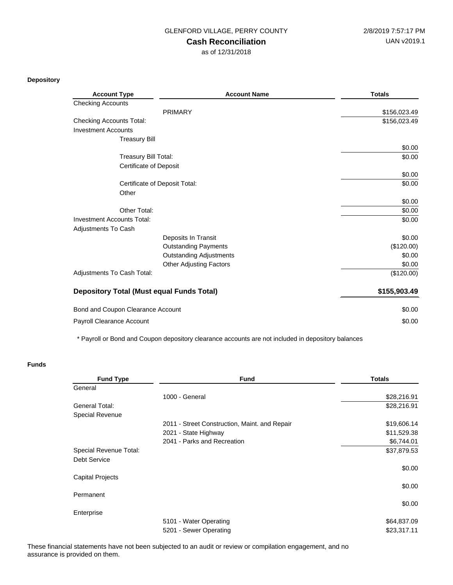### GLENFORD VILLAGE, PERRY COUNTY 2/8/2019 7:57:17 PM

## **Cash Reconciliation**

as of 12/31/2018

#### **Depository**

| <b>Account Type</b>                              | <b>Account Name</b>            | <b>Totals</b> |
|--------------------------------------------------|--------------------------------|---------------|
| <b>Checking Accounts</b>                         |                                |               |
|                                                  | <b>PRIMARY</b>                 | \$156,023.49  |
| <b>Checking Accounts Total:</b>                  |                                | \$156,023.49  |
| <b>Investment Accounts</b>                       |                                |               |
| <b>Treasury Bill</b>                             |                                |               |
|                                                  |                                | \$0.00        |
| Treasury Bill Total:                             |                                | \$0.00        |
| <b>Certificate of Deposit</b>                    |                                |               |
|                                                  |                                | \$0.00        |
| Certificate of Deposit Total:                    |                                | \$0.00        |
| Other                                            |                                |               |
|                                                  |                                | \$0.00        |
| Other Total:                                     |                                | \$0.00        |
| Investment Accounts Total:                       |                                | \$0.00        |
| Adjustments To Cash                              |                                |               |
|                                                  | Deposits In Transit            | \$0.00        |
|                                                  | <b>Outstanding Payments</b>    | (\$120.00)    |
|                                                  | <b>Outstanding Adjustments</b> | \$0.00        |
|                                                  | <b>Other Adjusting Factors</b> | \$0.00        |
| Adjustments To Cash Total:                       |                                | (\$120.00)    |
| <b>Depository Total (Must equal Funds Total)</b> |                                | \$155,903.49  |
| Bond and Coupon Clearance Account                |                                | \$0.00        |
| Payroll Clearance Account                        |                                | \$0.00        |

\* Payroll or Bond and Coupon depository clearance accounts are not included in depository balances

### **Funds**

| <b>Fund Type</b>        | <b>Fund</b>                                   | <b>Totals</b> |
|-------------------------|-----------------------------------------------|---------------|
| General                 |                                               |               |
|                         | 1000 - General                                | \$28,216.91   |
| General Total:          |                                               | \$28,216.91   |
| Special Revenue         |                                               |               |
|                         | 2011 - Street Construction, Maint. and Repair | \$19,606.14   |
|                         | 2021 - State Highway                          | \$11,529.38   |
|                         | 2041 - Parks and Recreation                   | \$6,744.01    |
| Special Revenue Total:  |                                               | \$37,879.53   |
| <b>Debt Service</b>     |                                               |               |
|                         |                                               | \$0.00        |
| <b>Capital Projects</b> |                                               |               |
|                         |                                               | \$0.00        |
| Permanent               |                                               |               |
|                         |                                               | \$0.00        |
| Enterprise              |                                               |               |
|                         | 5101 - Water Operating                        | \$64,837.09   |
|                         | 5201 - Sewer Operating                        | \$23,317.11   |

These financial statements have not been subjected to an audit or review or compilation engagement, and no assurance is provided on them.